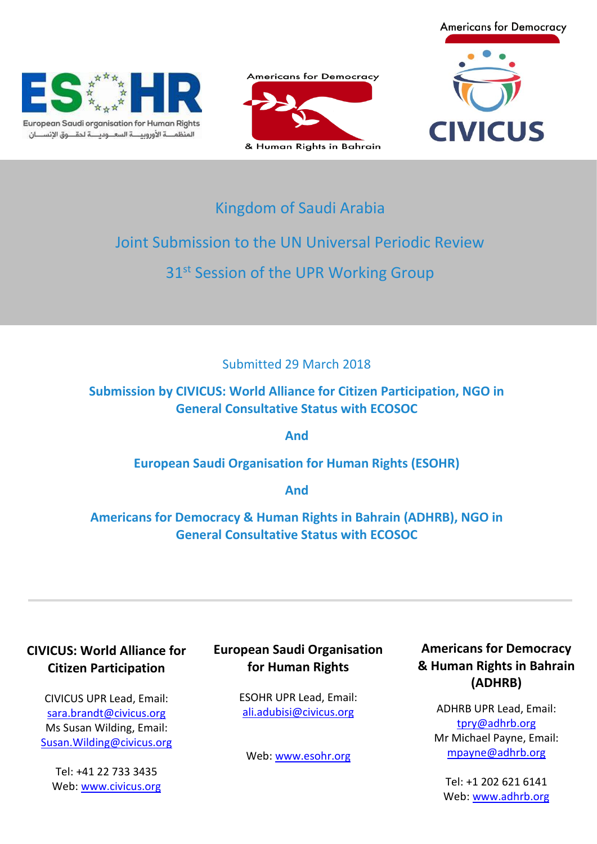





## Kingdom of Saudi Arabia

# Joint Submission to the UN Universal Periodic Review 31st Session of the UPR Working Group

Submitted 29 March 2018

**Submission by CIVICUS: World Alliance for Citizen Participation, NGO in General Consultative Status with ECOSOC**

**And**

**European Saudi Organisation for Human Rights (ESOHR)**

**And**

**Americans for Democracy & Human Rights in Bahrain (ADHRB), NGO in General Consultative Status with ECOSOC**

## **CIVICUS: World Alliance for Citizen Participation**

CIVICUS UPR Lead, Email: [sara.brandt@civicus.org](mailto:sara.brandt@civicus.org) Ms Susan Wilding, Email: [Susan.Wilding@civicus.org](mailto:Susan.Wilding@civicus.org)

Tel: +41 22 733 3435 Web[: www.civicus.org](http://www.civicus.org/)

## **European Saudi Organisation for Human Rights**

ESOHR UPR Lead, Email: [ali.adubisi@civicus.org](mailto:ali.adubisi@civicus.org)

Web: [www.esohr.org](http://www.esohr.org/)

## **Americans for Democracy & Human Rights in Bahrain (ADHRB)**

ADHRB UPR Lead, Email: [tpry@adhrb.org](mailto:tpry@adhrb.org) Mr Michael Payne, Email: [mpayne@adhrb.org](mailto:mpayne@adhrb.org)

Tel: +1 202 621 6141 Web: [www.adhrb.org](http://www.adhrb.org/)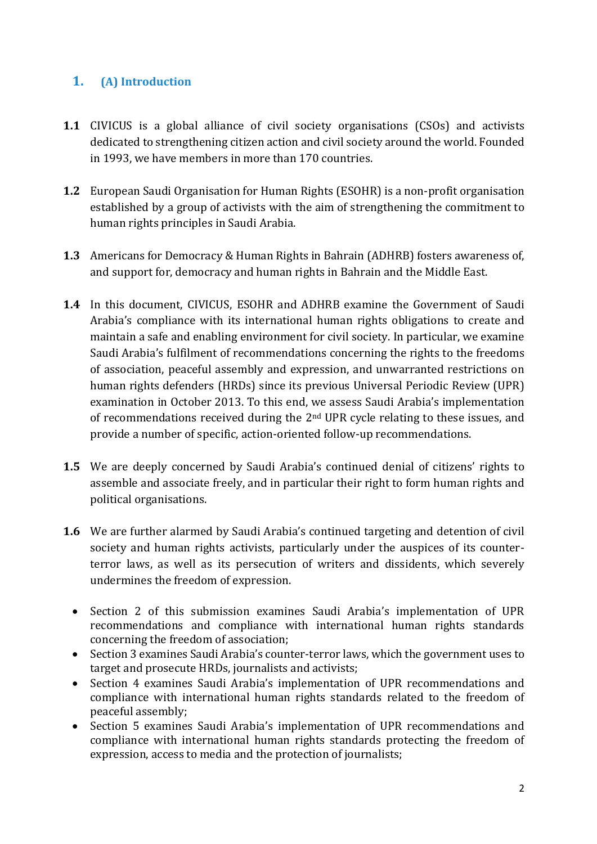### **1. (A) Introduction**

- **1.1** CIVICUS is a global alliance of civil society organisations (CSOs) and activists dedicated to strengthening citizen action and civil society around the world. Founded in 1993, we have members in more than 170 countries.
- **1.2** European Saudi Organisation for Human Rights (ESOHR) is a non-profit organisation established by a group of activists with the aim of strengthening the commitment to human rights principles in Saudi Arabia.
- **1.3** Americans for Democracy & Human Rights in Bahrain (ADHRB) fosters awareness of, and support for, democracy and human rights in Bahrain and the Middle East.
- **1.4** In this document, CIVICUS, ESOHR and ADHRB examine the Government of Saudi Arabia's compliance with its international human rights obligations to create and maintain a safe and enabling environment for civil society. In particular, we examine Saudi Arabia's fulfilment of recommendations concerning the rights to the freedoms of association, peaceful assembly and expression, and unwarranted restrictions on human rights defenders (HRDs) since its previous Universal Periodic Review (UPR) examination in October 2013. To this end, we assess Saudi Arabia's implementation of recommendations received during the 2nd UPR cycle relating to these issues, and provide a number of specific, action-oriented follow-up recommendations.
- **1.5** We are deeply concerned by Saudi Arabia's continued denial of citizens' rights to assemble and associate freely, and in particular their right to form human rights and political organisations.
- **1.6** We are further alarmed by Saudi Arabia's continued targeting and detention of civil society and human rights activists, particularly under the auspices of its counterterror laws, as well as its persecution of writers and dissidents, which severely undermines the freedom of expression.
	- Section 2 of this submission examines Saudi Arabia's implementation of UPR recommendations and compliance with international human rights standards concerning the freedom of association;
	- Section 3 examines Saudi Arabia's counter-terror laws, which the government uses to target and prosecute HRDs, journalists and activists;
	- Section 4 examines Saudi Arabia's implementation of UPR recommendations and compliance with international human rights standards related to the freedom of peaceful assembly;
	- Section 5 examines Saudi Arabia's implementation of UPR recommendations and compliance with international human rights standards protecting the freedom of expression, access to media and the protection of journalists;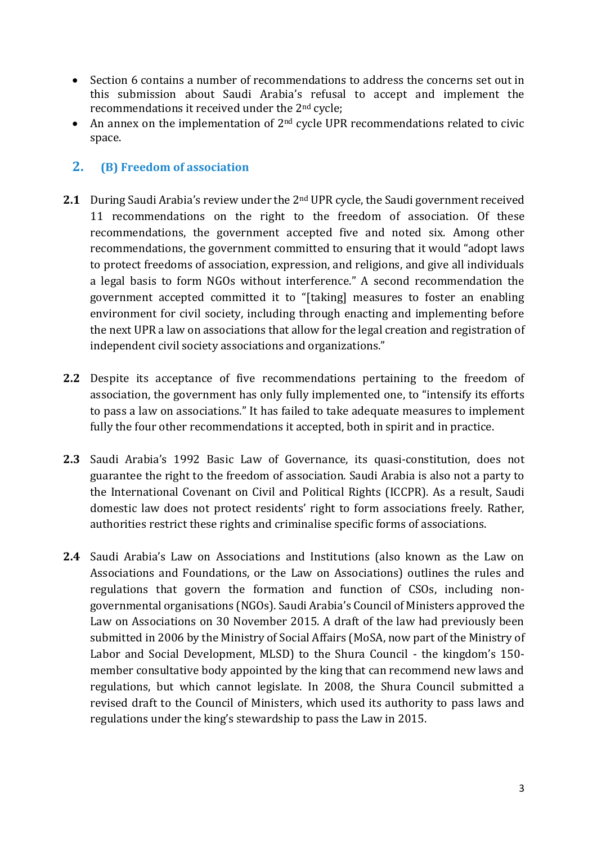- Section 6 contains a number of recommendations to address the concerns set out in this submission about Saudi Arabia's refusal to accept and implement the recommendations it received under the 2nd cycle;
- An annex on the implementation of  $2<sup>nd</sup>$  cycle UPR recommendations related to civic space.

#### **2. (B) Freedom of association**

- **2.1** During Saudi Arabia's review under the 2nd UPR cycle, the Saudi government received 11 recommendations on the right to the freedom of association. Of these recommendations, the government accepted five and noted six. Among other recommendations, the government committed to ensuring that it would "adopt laws to protect freedoms of association, expression, and religions, and give all individuals a legal basis to form NGOs without interference." A second recommendation the government accepted committed it to "[taking] measures to foster an enabling environment for civil society, including through enacting and implementing before the next UPR a law on associations that allow for the legal creation and registration of independent civil society associations and organizations."
- **2.2** Despite its acceptance of five recommendations pertaining to the freedom of association, the government has only fully implemented one, to "intensify its efforts to pass a law on associations." It has failed to take adequate measures to implement fully the four other recommendations it accepted, both in spirit and in practice.
- **2.3** Saudi Arabia's 1992 Basic Law of Governance, its quasi-constitution, does not guarantee the right to the freedom of association. Saudi Arabia is also not a party to the International Covenant on Civil and Political Rights (ICCPR). As a result, Saudi domestic law does not protect residents' right to form associations freely. Rather, authorities restrict these rights and criminalise specific forms of associations.
- **2.4** Saudi Arabia's Law on Associations and Institutions (also known as the Law on Associations and Foundations, or the Law on Associations) outlines the rules and regulations that govern the formation and function of CSOs, including nongovernmental organisations (NGOs).Saudi Arabia's Council of Ministers approved the Law on Associations on 30 November 2015. A draft of the law had previously been submitted in 2006 by the Ministry of Social Affairs (MoSA, now part of the Ministry of Labor and Social Development, MLSD) to the Shura Council - the kingdom's 150 member consultative body appointed by the king that can recommend new laws and regulations, but which cannot legislate. In 2008, the Shura Council submitted a revised draft to the Council of Ministers, which used its authority to pass laws and regulations under the king's stewardship to pass the Law in 2015.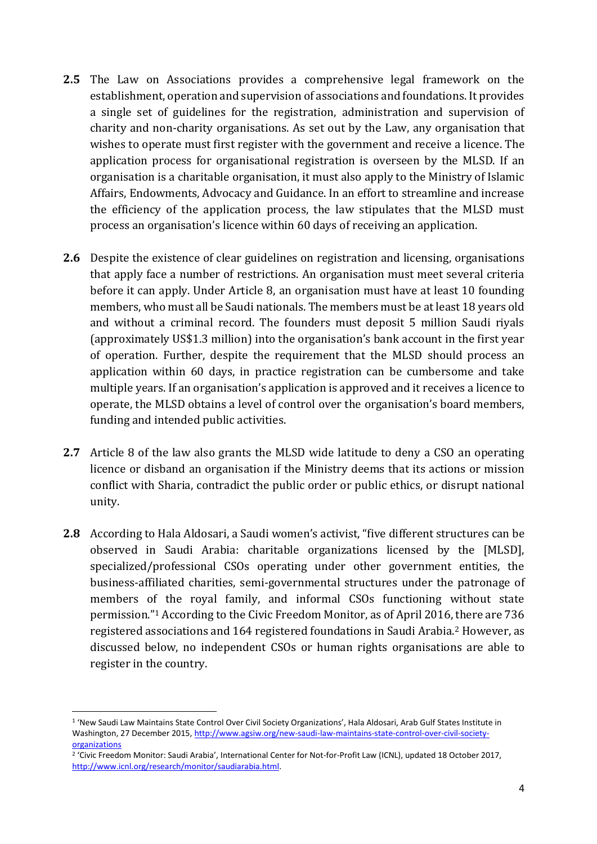- **2.5** The Law on Associations provides a comprehensive legal framework on the establishment, operation and supervision of associations and foundations. It provides a single set of guidelines for the registration, administration and supervision of charity and non-charity organisations. As set out by the Law, any organisation that wishes to operate must first register with the government and receive a licence. The application process for organisational registration is overseen by the MLSD. If an organisation is a charitable organisation, it must also apply to the Ministry of Islamic Affairs, Endowments, Advocacy and Guidance. In an effort to streamline and increase the efficiency of the application process, the law stipulates that the MLSD must process an organisation's licence within 60 days of receiving an application.
- **2.6** Despite the existence of clear guidelines on registration and licensing, organisations that apply face a number of restrictions. An organisation must meet several criteria before it can apply. Under Article 8, an organisation must have at least 10 founding members, who must all be Saudi nationals. The members must be at least 18 years old and without a criminal record. The founders must deposit 5 million Saudi riyals (approximately US\$1.3 million) into the organisation's bank account in the first year of operation. Further, despite the requirement that the MLSD should process an application within 60 days, in practice registration can be cumbersome and take multiple years. If an organisation's application is approved and it receives a licence to operate, the MLSD obtains a level of control over the organisation's board members, funding and intended public activities.
- **2.7** Article 8 of the law also grants the MLSD wide latitude to deny a CSO an operating licence or disband an organisation if the Ministry deems that its actions or mission conflict with Sharia, contradict the public order or public ethics, or disrupt national unity.
- **2.8** According to Hala Aldosari, a Saudi women's activist, "five different structures can be observed in Saudi Arabia: charitable organizations licensed by the [MLSD], specialized/professional CSOs operating under other government entities, the business-affiliated charities, semi-governmental structures under the patronage of members of the royal family, and informal CSOs functioning without state permission."<sup>1</sup> According to the Civic Freedom Monitor, as of April 2016, there are 736 registered associations and 164 registered foundations in Saudi Arabia.<sup>2</sup> However, as discussed below, no independent CSOs or human rights organisations are able to register in the country.

<sup>&</sup>lt;sup>1</sup> 'New Saudi Law Maintains State Control Over Civil Society Organizations', Hala Aldosari, Arab Gulf States Institute in Washington, 27 December 2015, [http://www.agsiw.org/new-saudi-law-maintains-state-control-over-civil-society](http://www.agsiw.org/new-saudi-law-maintains-state-control-over-civil-society-organizations/)[organizations](http://www.agsiw.org/new-saudi-law-maintains-state-control-over-civil-society-organizations/)

<sup>&</sup>lt;sup>2</sup> 'Civic Freedom Monitor: Saudi Arabia', International Center for Not-for-Profit Law (ICNL), updated 18 October 2017, [http://www.icnl.org/research/monitor/saudiarabia.html.](http://www.icnl.org/research/monitor/saudiarabia.html)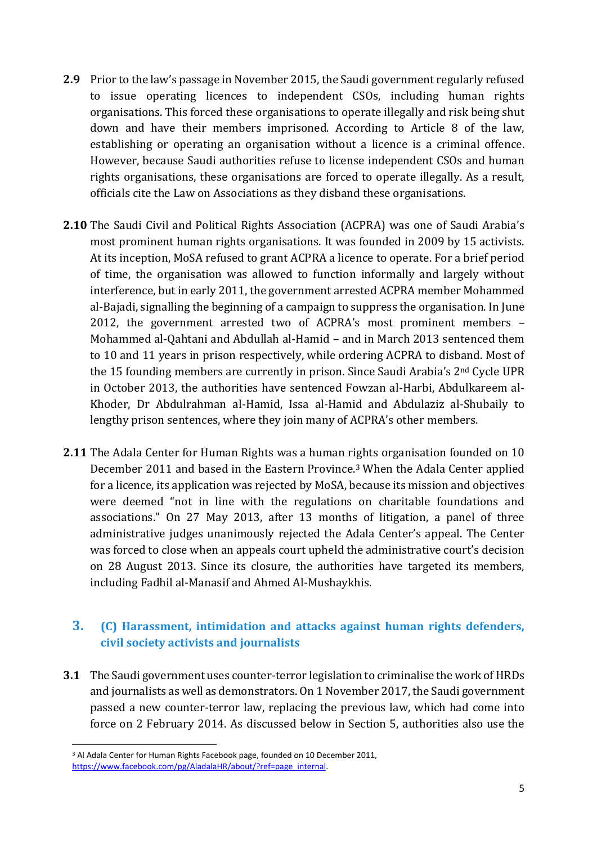- **2.9** Prior to the law's passage in November 2015, the Saudi government regularly refused to issue operating licences to independent CSOs, including human rights organisations. This forced these organisations to operate illegally and risk being shut down and have their members imprisoned. According to Article 8 of the law, establishing or operating an organisation without a licence is a criminal offence. However, because Saudi authorities refuse to license independent CSOs and human rights organisations, these organisations are forced to operate illegally. As a result, officials cite the Law on Associations as they disband these organisations.
- **2.10** The Saudi Civil and Political Rights Association (ACPRA) was one of Saudi Arabia's most prominent human rights organisations. It was founded in 2009 by 15 activists. At its inception, MoSA refused to grant ACPRA a licence to operate. For a brief period of time, the organisation was allowed to function informally and largely without interference, but in early 2011, the government arrested ACPRA member Mohammed al-Bajadi, signalling the beginning of a campaign to suppress the organisation. In June 2012, the government arrested two of ACPRA's most prominent members – Mohammed al-Qahtani and Abdullah al-Hamid – and in March 2013 sentenced them to 10 and 11 years in prison respectively, while ordering ACPRA to disband. Most of the 15 founding members are currently in prison. Since Saudi Arabia's 2nd Cycle UPR in October 2013, the authorities have sentenced Fowzan al-Harbi, Abdulkareem al-Khoder, Dr Abdulrahman al-Hamid, Issa al-Hamid and Abdulaziz al-Shubaily to lengthy prison sentences, where they join many of ACPRA's other members.
- **2.11** The Adala Center for Human Rights was a human rights organisation founded on 10 December 2011 and based in the Eastern Province.<sup>3</sup> When the Adala Center applied for a licence, its application was rejected by MoSA, because its mission and objectives were deemed "not in line with the regulations on charitable foundations and associations." On 27 May 2013, after 13 months of litigation, a panel of three administrative judges unanimously rejected the Adala Center's appeal. The Center was forced to close when an appeals court upheld the administrative court's decision on 28 August 2013. Since its closure, the authorities have targeted its members, including Fadhil al-Manasif and Ahmed Al-Mushaykhis.

#### **3. (C) Harassment, intimidation and attacks against human rights defenders, civil society activists and journalists**

**3.1** The Saudi government uses counter-terror legislation to criminalise the work of HRDs and journalists as well as demonstrators. On 1 November 2017, the Saudi government passed a new counter-terror law, replacing the previous law, which had come into force on 2 February 2014. As discussed below in Section 5, authorities also use the

<sup>&</sup>lt;sup>3</sup> Al Adala Center for Human Rights Facebook page, founded on 10 December 2011, https://www.facebook.com/pg/AladalaHR/about/?ref=page\_internal.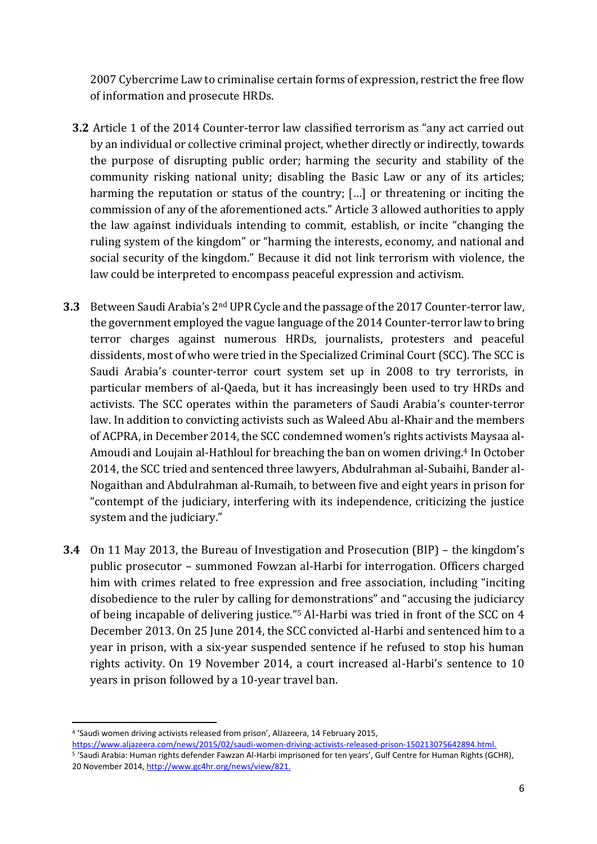2007 Cybercrime Law to criminalise certain forms of expression, restrict the free flow of information and prosecute HRDs.

- **3.2** Article 1 of the 2014 Counter-terror law classified terrorism as "any act carried out by an individual or collective criminal project, whether directly or indirectly, towards the purpose of disrupting public order; harming the security and stability of the community risking national unity; disabling the Basic Law or any of its articles; harming the reputation or status of the country; […] or threatening or inciting the commission of any of the aforementioned acts." Article 3 allowed authorities to apply the law against individuals intending to commit, establish, or incite "changing the ruling system of the kingdom" or "harming the interests, economy, and national and social security of the kingdom." Because it did not link terrorism with violence, the law could be interpreted to encompass peaceful expression and activism.
- **3.3** Between Saudi Arabia's 2nd UPR Cycle and the passage of the 2017 Counter-terror law, the government employed the vague language of the 2014 Counter-terror law to bring terror charges against numerous HRDs, journalists, protesters and peaceful dissidents, most of who were tried in the Specialized Criminal Court (SCC). The SCC is Saudi Arabia's counter-terror court system set up in 2008 to try terrorists, in particular members of al-Qaeda, but it has increasingly been used to try HRDs and activists. The SCC operates within the parameters of Saudi Arabia's counter-terror law. In addition to convicting activists such as Waleed Abu al-Khair and the members of ACPRA, in December 2014, the SCC condemned women's rights activists Maysaa al-Amoudi and Loujain al-Hathloul for breaching the ban on women driving.<sup>4</sup> In October 2014, the SCC tried and sentenced three lawyers, Abdulrahman al-Subaihi, Bander al-Nogaithan and Abdulrahman al-Rumaih, to between five and eight years in prison for "contempt of the judiciary, interfering with its independence, criticizing the justice system and the judiciary."
- **3.4** On 11 May 2013, the Bureau of Investigation and Prosecution (BIP) the kingdom's public prosecutor – summoned Fowzan al-Harbi for interrogation. Officers charged him with crimes related to free expression and free association, including "inciting disobedience to the ruler by calling for demonstrations" and "accusing the judiciarcy of being incapable of delivering justice."<sup>5</sup> Al-Harbi was tried in front of the SCC on 4 December 2013. On 25 June 2014, the SCC convicted al-Harbi and sentenced him to a year in prison, with a six-year suspended sentence if he refused to stop his human rights activity. On 19 November 2014, a court increased al-Harbi's sentence to 10 years in prison followed by a 10-year travel ban.

 $\overline{a}$ 

[https://www.aljazeera.com/news/2015/02/saudi-women-driving-activists-released-prison-150213075642894.html.](https://www.aljazeera.com/news/2015/02/saudi-women-driving-activists-released-prison-150213075642894.html) 5 'Saudi Arabia: Human rights defender Fawzan Al-Harbi imprisoned for ten years', Gulf Centre for Human Rights (GCHR), 20 November 2014[, http://www.gc4hr.org/news/view/821.](http://www.gc4hr.org/news/view/821)

<sup>4</sup> 'Saudi women driving activists released from prison', AlJazeera, 14 February 2015,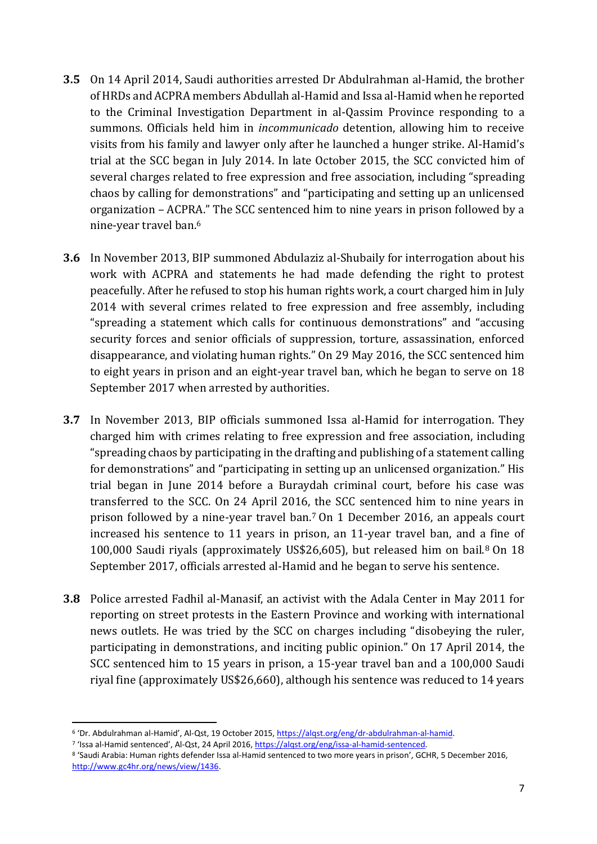- **3.5** On 14 April 2014, Saudi authorities arrested Dr Abdulrahman al-Hamid, the brother of HRDs and ACPRA members Abdullah al-Hamid and Issa al-Hamid when he reported to the Criminal Investigation Department in al-Qassim Province responding to a summons. Officials held him in *incommunicado* detention, allowing him to receive visits from his family and lawyer only after he launched a hunger strike. Al-Hamid's trial at the SCC began in July 2014. In late October 2015, the SCC convicted him of several charges related to free expression and free association, including "spreading chaos by calling for demonstrations" and "participating and setting up an unlicensed organization – ACPRA." The SCC sentenced him to nine years in prison followed by a nine-year travel ban.<sup>6</sup>
- **3.6** In November 2013, BIP summoned Abdulaziz al-Shubaily for interrogation about his work with ACPRA and statements he had made defending the right to protest peacefully. After he refused to stop his human rights work, a court charged him in July 2014 with several crimes related to free expression and free assembly, including "spreading a statement which calls for continuous demonstrations" and "accusing security forces and senior officials of suppression, torture, assassination, enforced disappearance, and violating human rights." On 29 May 2016, the SCC sentenced him to eight years in prison and an eight-year travel ban, which he began to serve on 18 September 2017 when arrested by authorities.
- **3.7** In November 2013, BIP officials summoned Issa al-Hamid for interrogation. They charged him with crimes relating to free expression and free association, including "spreading chaos by participating in the drafting and publishing of a statement calling for demonstrations" and "participating in setting up an unlicensed organization." His trial began in June 2014 before a Buraydah criminal court, before his case was transferred to the SCC. On 24 April 2016, the SCC sentenced him to nine years in prison followed by a nine-year travel ban.<sup>7</sup> On 1 December 2016, an appeals court increased his sentence to 11 years in prison, an 11-year travel ban, and a fine of 100,000 Saudi riyals (approximately US\$26,605), but released him on bail.<sup>8</sup> On 18 September 2017, officials arrested al-Hamid and he began to serve his sentence.
- **3.8** Police arrested Fadhil al-Manasif, an activist with the Adala Center in May 2011 for reporting on street protests in the Eastern Province and working with international news outlets. He was tried by the SCC on charges including "disobeying the ruler, participating in demonstrations, and inciting public opinion." On 17 April 2014, the SCC sentenced him to 15 years in prison, a 15-year travel ban and a 100,000 Saudi riyal fine (approximately US\$26,660), although his sentence was reduced to 14 years

 $\overline{a}$ 

<sup>&</sup>lt;sup>6</sup> 'Dr. Abdulrahman al-Hamid', Al-Qst, 19 October 2015, https://algst.org/eng/dr-abdulrahman-al-hamid.

<sup>&</sup>lt;sup>7</sup> 'Issa al-Hamid sentenced', Al-Qst, 24 April 2016, https://algst.org/eng/issa-al-hamid-sentenced.

<sup>8</sup> 'Saudi Arabia: Human rights defender Issa al-Hamid sentenced to two more years in prison', GCHR, 5 December 2016, [http://www.gc4hr.org/news/view/1436.](http://www.gc4hr.org/news/view/1436)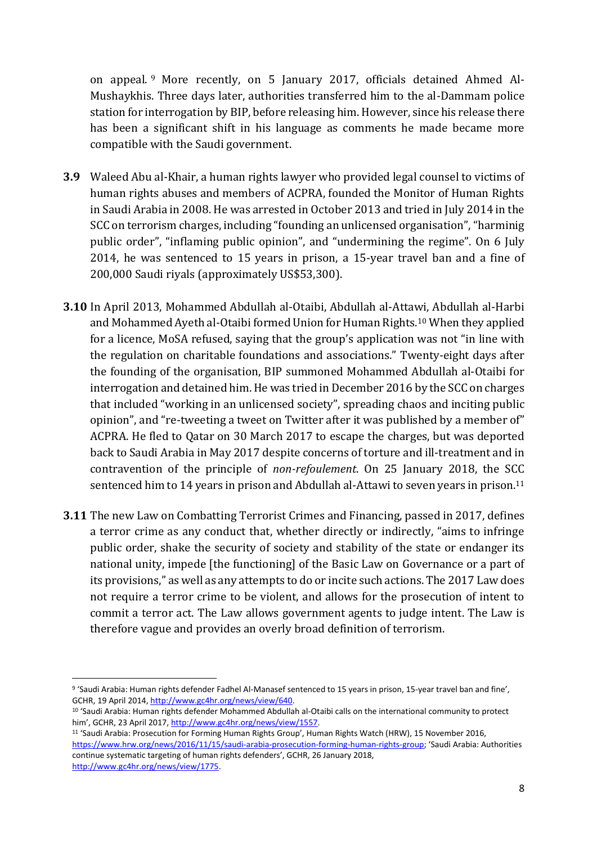on appeal. <sup>9</sup> More recently, on 5 January 2017, officials detained Ahmed Al-Mushaykhis. Three days later, authorities transferred him to the al-Dammam police station for interrogation by BIP, before releasing him. However, since his release there has been a significant shift in his language as comments he made became more compatible with the Saudi government.

- **3.9** Waleed Abu al-Khair, a human rights lawyer who provided legal counsel to victims of human rights abuses and members of ACPRA, founded the Monitor of Human Rights in Saudi Arabia in 2008. He was arrested in October 2013 and tried in July 2014 in the SCC on terrorism charges, including "founding an unlicensed organisation", "harminig public order", "inflaming public opinion", and "undermining the regime". On 6 July 2014, he was sentenced to 15 years in prison, a 15-year travel ban and a fine of 200,000 Saudi riyals (approximately US\$53,300).
- **3.10** In April 2013, Mohammed Abdullah al-Otaibi, Abdullah al-Attawi, Abdullah al-Harbi and Mohammed Ayeth al-Otaibi formed Union for Human Rights.<sup>10</sup> When they applied for a licence, MoSA refused, saying that the group's application was not "in line with the regulation on charitable foundations and associations." Twenty-eight days after the founding of the organisation, BIP summoned Mohammed Abdullah al-Otaibi for interrogation and detained him. He was tried in December 2016 by the SCC on charges that included "working in an unlicensed society", spreading chaos and inciting public opinion", and "re-tweeting a tweet on Twitter after it was published by a member of" ACPRA. He fled to Qatar on 30 March 2017 to escape the charges, but was deported back to Saudi Arabia in May 2017 despite concerns of torture and ill-treatment and in contravention of the principle of *non-refoulement*. On 25 January 2018, the SCC sentenced him to 14 years in prison and Abdullah al-Attawi to seven years in prison.<sup>11</sup>
- **3.11** The new Law on Combatting Terrorist Crimes and Financing, passed in 2017, defines a terror crime as any conduct that, whether directly or indirectly, "aims to infringe public order, shake the security of society and stability of the state or endanger its national unity, impede [the functioning] of the Basic Law on Governance or a part of its provisions," as well as any attempts to do or incite such actions. The 2017 Law does not require a terror crime to be violent, and allows for the prosecution of intent to commit a terror act. The Law allows government agents to judge intent. The Law is therefore vague and provides an overly broad definition of terrorism.

<sup>9</sup> 'Saudi Arabia: Human rights defender Fadhel Al-Manasef sentenced to 15 years in prison, 15-year travel ban and fine', GCHR, 19 April 2014[, http://www.gc4hr.org/news/view/640.](http://www.gc4hr.org/news/view/640)

<sup>10</sup> 'Saudi Arabia: Human rights defender Mohammed Abdullah al-Otaibi calls on the international community to protect him', GCHR, 23 April 2017[, http://www.gc4hr.org/news/view/1557.](http://www.gc4hr.org/news/view/1557)

<sup>&</sup>lt;sup>11</sup> 'Saudi Arabia: Prosecution for Forming Human Rights Group', Human Rights Watch (HRW), 15 November 2016, <https://www.hrw.org/news/2016/11/15/saudi-arabia-prosecution-forming-human-rights-group>; 'Saudi Arabia: Authorities continue systematic targeting of human rights defenders', GCHR, 26 January 2018, [http://www.gc4hr.org/news/view/1775.](http://www.gc4hr.org/news/view/1775)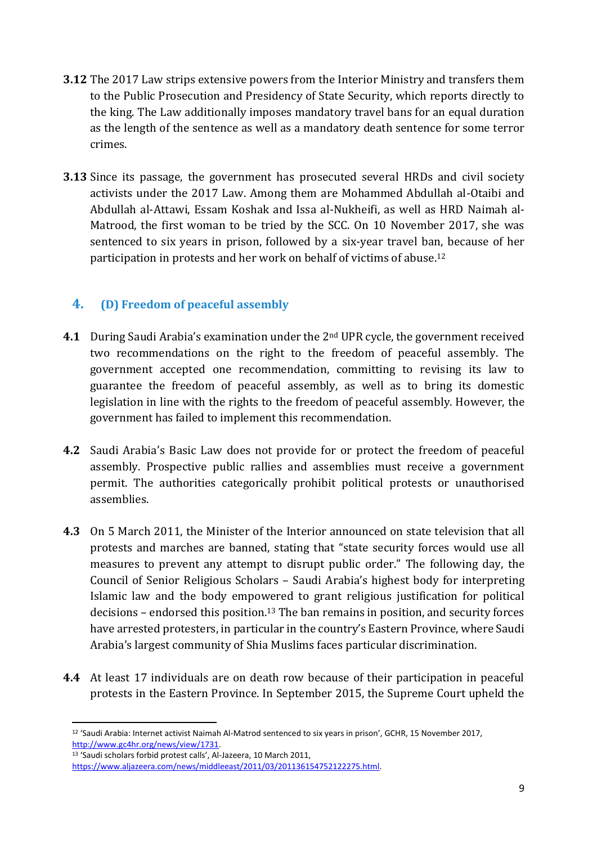- **3.12** The 2017 Law strips extensive powers from the Interior Ministry and transfers them to the Public Prosecution and Presidency of State Security, which reports directly to the king. The Law additionally imposes mandatory travel bans for an equal duration as the length of the sentence as well as a mandatory death sentence for some terror crimes.
- **3.13** Since its passage, the government has prosecuted several HRDs and civil society activists under the 2017 Law. Among them are Mohammed Abdullah al-Otaibi and Abdullah al-Attawi, Essam Koshak and Issa al-Nukheifi, as well as HRD Naimah al-Matrood, the first woman to be tried by the SCC. On 10 November 2017, she was sentenced to six years in prison, followed by a six-year travel ban, because of her participation in protests and her work on behalf of victims of abuse.<sup>12</sup>

#### **4. (D) Freedom of peaceful assembly**

- **4.1** During Saudi Arabia's examination under the 2nd UPR cycle, the government received two recommendations on the right to the freedom of peaceful assembly. The government accepted one recommendation, committing to revising its law to guarantee the freedom of peaceful assembly, as well as to bring its domestic legislation in line with the rights to the freedom of peaceful assembly. However, the government has failed to implement this recommendation.
- **4.2** Saudi Arabia's Basic Law does not provide for or protect the freedom of peaceful assembly. Prospective public rallies and assemblies must receive a government permit. The authorities categorically prohibit political protests or unauthorised assemblies.
- **4.3** On 5 March 2011, the Minister of the Interior announced on state television that all protests and marches are banned, stating that "state security forces would use all measures to prevent any attempt to disrupt public order." The following day, the Council of Senior Religious Scholars – Saudi Arabia's highest body for interpreting Islamic law and the body empowered to grant religious justification for political  $decisions$  – endorsed this position.<sup>13</sup> The ban remains in position, and security forces have arrested protesters, in particular in the country's Eastern Province, where Saudi Arabia's largest community of Shia Muslims faces particular discrimination.
- **4.4** At least 17 individuals are on death row because of their participation in peaceful protests in the Eastern Province. In September 2015, the Supreme Court upheld the

 $\overline{\phantom{a}}$ <sup>12</sup> 'Saudi Arabia: Internet activist Naimah Al-Matrod sentenced to six years in prison', GCHR, 15 November 2017, [http://www.gc4hr.org/news/view/1731.](http://www.gc4hr.org/news/view/1731)

<sup>13</sup> 'Saudi scholars forbid protest calls', Al-Jazeera, 10 March 2011,

[https://www.aljazeera.com/news/middleeast/2011/03/201136154752122275.html.](https://www.aljazeera.com/news/middleeast/2011/03/201136154752122275.html)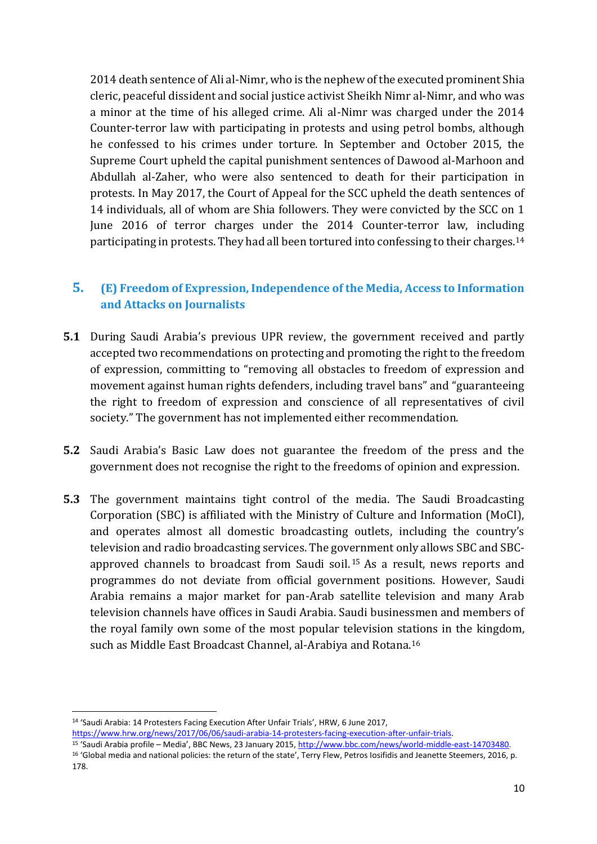2014 death sentence of Ali al-Nimr, who is the nephew of the executed prominent Shia cleric, peaceful dissident and social justice activist Sheikh Nimr al-Nimr, and who was a minor at the time of his alleged crime. Ali al-Nimr was charged under the 2014 Counter-terror law with participating in protests and using petrol bombs, although he confessed to his crimes under torture. In September and October 2015, the Supreme Court upheld the capital punishment sentences of Dawood al-Marhoon and Abdullah al-Zaher, who were also sentenced to death for their participation in protests. In May 2017, the Court of Appeal for the SCC upheld the death sentences of 14 individuals, all of whom are Shia followers. They were convicted by the SCC on 1 June 2016 of terror charges under the 2014 Counter-terror law, including participating in protests. They had all been tortured into confessing to their charges.<sup>14</sup>

#### **5. (E) Freedom of Expression, Independence of the Media, Access to Information and Attacks on Journalists**

- **5.1** During Saudi Arabia's previous UPR review, the government received and partly accepted two recommendations on protecting and promoting the right to the freedom of expression, committing to "removing all obstacles to freedom of expression and movement against human rights defenders, including travel bans" and "guaranteeing the right to freedom of expression and conscience of all representatives of civil society." The government has not implemented either recommendation.
- **5.2** Saudi Arabia's Basic Law does not guarantee the freedom of the press and the government does not recognise the right to the freedoms of opinion and expression.
- **5.3** The government maintains tight control of the media. The Saudi Broadcasting Corporation (SBC) is affiliated with the Ministry of Culture and Information (MoCI), and operates almost all domestic broadcasting outlets, including the country's television and radio broadcasting services. The government only allows SBC and SBCapproved channels to broadcast from Saudi soil. <sup>15</sup> As a result, news reports and programmes do not deviate from official government positions. However, Saudi Arabia remains a major market for pan-Arab satellite television and many Arab television channels have offices in Saudi Arabia. Saudi businessmen and members of the royal family own some of the most popular television stations in the kingdom, such as Middle East Broadcast Channel, al-Arabiya and Rotana.<sup>16</sup>

<sup>&</sup>lt;sup>14</sup> 'Saudi Arabia: 14 Protesters Facing Execution After Unfair Trials', HRW, 6 June 2017,

[https://www.hrw.org/news/2017/06/06/saudi-arabia-14-protesters-facing-execution-after-unfair-trials.](https://www.hrw.org/news/2017/06/06/saudi-arabia-14-protesters-facing-execution-after-unfair-trials)

<sup>&</sup>lt;sup>15</sup> 'Saudi Arabia profile – Media', BBC News, 23 January 2015, http://www.bbc.com/news/world-middle-east-14703480.

<sup>16</sup> 'Global media and national policies: the return of the state', Terry Flew, Petros Iosifidis and Jeanette Steemers, 2016, p. 178.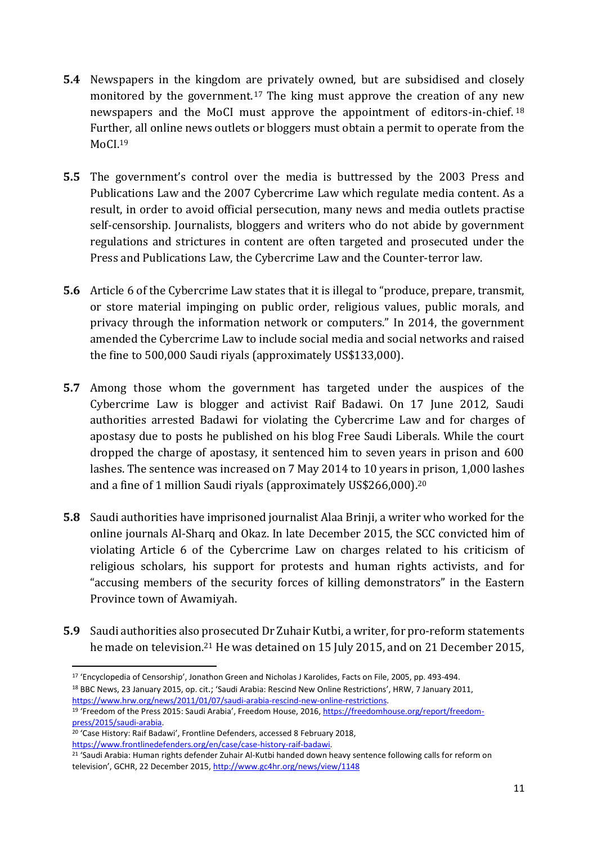- **5.4** Newspapers in the kingdom are privately owned, but are subsidised and closely monitored by the government. <sup>17</sup> The king must approve the creation of any new newspapers and the MoCI must approve the appointment of editors-in-chief. <sup>18</sup> Further, all online news outlets or bloggers must obtain a permit to operate from the MoCI.<sup>19</sup>
- **5.5** The government's control over the media is buttressed by the 2003 Press and Publications Law and the 2007 Cybercrime Law which regulate media content. As a result, in order to avoid official persecution, many news and media outlets practise self-censorship. Journalists, bloggers and writers who do not abide by government regulations and strictures in content are often targeted and prosecuted under the Press and Publications Law, the Cybercrime Law and the Counter-terror law.
- **5.6** Article 6 of the Cybercrime Law states that it is illegal to "produce, prepare, transmit, or store material impinging on public order, religious values, public morals, and privacy through the information network or computers." In 2014, the government amended the Cybercrime Law to include social media and social networks and raised the fine to 500,000 Saudi riyals (approximately US\$133,000).
- **5.7** Among those whom the government has targeted under the auspices of the Cybercrime Law is blogger and activist Raif Badawi. On 17 June 2012, Saudi authorities arrested Badawi for violating the Cybercrime Law and for charges of apostasy due to posts he published on his blog Free Saudi Liberals. While the court dropped the charge of apostasy, it sentenced him to seven years in prison and 600 lashes. The sentence was increased on 7 May 2014 to 10 years in prison, 1,000 lashes and a fine of 1 million Saudi riyals (approximately US\$266,000).<sup>20</sup>
- **5.8** Saudi authorities have imprisoned journalist Alaa Brinji, a writer who worked for the online journals Al-Sharq and Okaz. In late December 2015, the SCC convicted him of violating Article 6 of the Cybercrime Law on charges related to his criticism of religious scholars, his support for protests and human rights activists, and for "accusing members of the security forces of killing demonstrators" in the Eastern Province town of Awamiyah.
- **5.9** Saudi authorities also prosecuted Dr Zuhair Kutbi, a writer, for pro-reform statements he made on television.<sup>21</sup> He was detained on 15 July 2015, and on 21 December 2015,

<sup>&</sup>lt;sup>17</sup> 'Encyclopedia of Censorship', Jonathon Green and Nicholas J Karolides, Facts on File, 2005, pp. 493-494. <sup>18</sup> BBC News, 23 January 2015, op. cit.; 'Saudi Arabia: Rescind New Online Restrictions', HRW, 7 January 2011, [https://www.hrw.org/news/2011/01/07/saudi-arabia-rescind-new-online-restrictions.](https://www.hrw.org/news/2011/01/07/saudi-arabia-rescind-new-online-restrictions)

<sup>&</sup>lt;sup>19</sup> 'Freedom of the Press 2015: Saudi Arabia', Freedom House, 2016[, https://freedomhouse.org/report/freedom](https://freedomhouse.org/report/freedom-press/2015/saudi-arabia)[press/2015/saudi-arabia.](https://freedomhouse.org/report/freedom-press/2015/saudi-arabia)

<sup>20</sup> 'Case History: Raif Badawi', Frontline Defenders, accessed 8 February 2018, [https://www.frontlinedefenders.org/en/case/case-history-raif-badawi.](https://www.frontlinedefenders.org/en/case/case-history-raif-badawi)

<sup>21</sup> 'Saudi Arabia: Human rights defender Zuhair Al-Kutbi handed down heavy sentence following calls for reform on television', GCHR, 22 December 2015, <http://www.gc4hr.org/news/view/1148>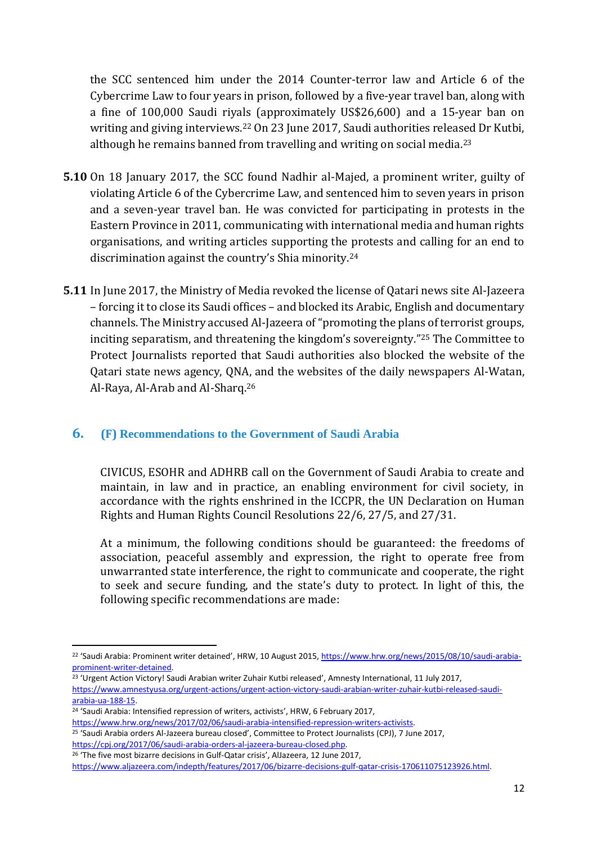the SCC sentenced him under the 2014 Counter-terror law and Article 6 of the Cybercrime Law to four years in prison, followed by a five-year travel ban, along with a fine of 100,000 Saudi riyals (approximately US\$26,600) and a 15-year ban on writing and giving interviews.<sup>22</sup> On 23 June 2017, Saudi authorities released Dr Kutbi, although he remains banned from travelling and writing on social media.<sup>23</sup>

- **5.10** On 18 January 2017, the SCC found Nadhir al-Majed, a prominent writer, guilty of violating Article 6 of the Cybercrime Law, and sentenced him to seven years in prison and a seven-year travel ban. He was convicted for participating in protests in the Eastern Province in 2011, communicating with international media and human rights organisations, and writing articles supporting the protests and calling for an end to discrimination against the country's Shia minority.<sup>24</sup>
- **5.11** In June 2017, the Ministry of Media revoked the license of Qatari news site Al-Jazeera – forcing it to close its Saudi offices – and blocked its Arabic, English and documentary channels. The Ministry accused Al-Jazeera of "promoting the plans of terrorist groups, inciting separatism, and threatening the kingdom's sovereignty."<sup>25</sup> The Committee to Protect Journalists reported that Saudi authorities also blocked the website of the Qatari state news agency, QNA, and the websites of the daily newspapers Al-Watan, Al-Raya, Al-Arab and Al-Sharq. 26

#### **6. (F) Recommendations to the Government of Saudi Arabia**

CIVICUS, ESOHR and ADHRB call on the Government of Saudi Arabia to create and maintain, in law and in practice, an enabling environment for civil society, in accordance with the rights enshrined in the ICCPR, the UN Declaration on Human Rights and Human Rights Council Resolutions 22/6, 27/5, and 27/31.

At a minimum, the following conditions should be guaranteed: the freedoms of association, peaceful assembly and expression, the right to operate free from unwarranted state interference, the right to communicate and cooperate, the right to seek and secure funding, and the state's duty to protect. In light of this, the following specific recommendations are made:

<sup>24</sup> 'Saudi Arabia: Intensified repression of writers, activists', HRW, 6 February 2017,

[https://www.hrw.org/news/2017/02/06/saudi-arabia-intensified-repression-writers-activists.](https://www.hrw.org/news/2017/02/06/saudi-arabia-intensified-repression-writers-activists)

1

<sup>&</sup>lt;sup>22</sup> 'Saudi Arabia: Prominent writer detained', HRW, 10 August 2015[, https://www.hrw.org/news/2015/08/10/saudi-arabia](https://www.hrw.org/news/2015/08/10/saudi-arabia-prominent-writer-detained)[prominent-writer-detained.](https://www.hrw.org/news/2015/08/10/saudi-arabia-prominent-writer-detained)

<sup>&</sup>lt;sup>23</sup> 'Urgent Action Victory! Saudi Arabian writer Zuhair Kutbi released', Amnesty International, 11 July 2017, [https://www.amnestyusa.org/urgent-actions/urgent-action-victory-saudi-arabian-writer-zuhair-kutbi-released-saudi](https://www.amnestyusa.org/urgent-actions/urgent-action-victory-saudi-arabian-writer-zuhair-kutbi-released-saudi-arabia-ua-188-15/)[arabia-ua-188-15.](https://www.amnestyusa.org/urgent-actions/urgent-action-victory-saudi-arabian-writer-zuhair-kutbi-released-saudi-arabia-ua-188-15/)

<sup>25</sup> 'Saudi Arabia orders Al-Jazeera bureau closed', Committee to Protect Journalists (CPJ), 7 June 2017, [https://cpj.org/2017/06/saudi-arabia-orders-al-jazeera-bureau-closed.php.](https://cpj.org/2017/06/saudi-arabia-orders-al-jazeera-bureau-closed.php) 

<sup>&</sup>lt;sup>26</sup> 'The five most bizarre decisions in Gulf-Qatar crisis', AlJazeera, 12 June 2017,

[https://www.aljazeera.com/indepth/features/2017/06/bizarre-decisions-gulf-qatar-crisis-170611075123926.html.](https://www.aljazeera.com/indepth/features/2017/06/bizarre-decisions-gulf-qatar-crisis-170611075123926.html)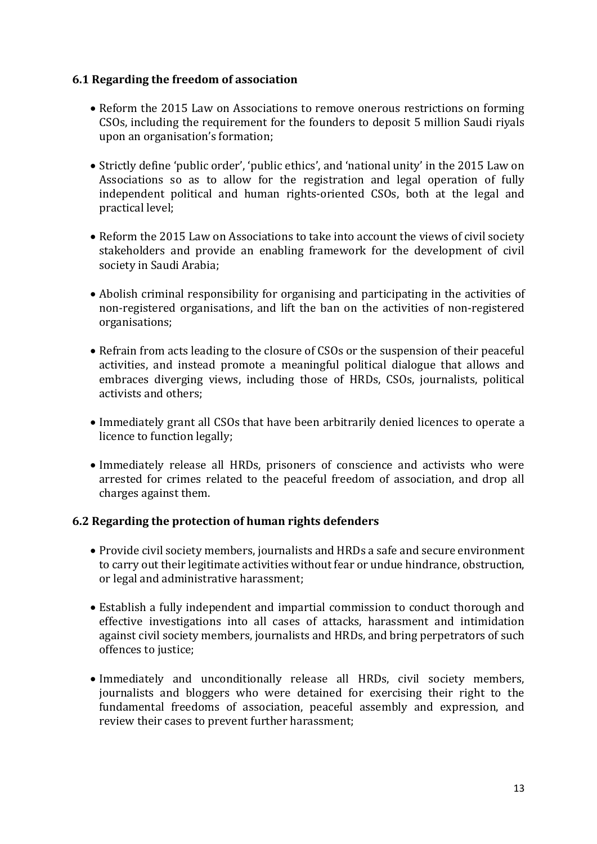#### **6.1 Regarding the freedom of association**

- Reform the 2015 Law on Associations to remove onerous restrictions on forming CSOs, including the requirement for the founders to deposit 5 million Saudi riyals upon an organisation's formation;
- Strictly define 'public order', 'public ethics', and 'national unity' in the 2015 Law on Associations so as to allow for the registration and legal operation of fully independent political and human rights-oriented CSOs, both at the legal and practical level;
- Reform the 2015 Law on Associations to take into account the views of civil society stakeholders and provide an enabling framework for the development of civil society in Saudi Arabia;
- Abolish criminal responsibility for organising and participating in the activities of non-registered organisations, and lift the ban on the activities of non-registered organisations;
- Refrain from acts leading to the closure of CSOs or the suspension of their peaceful activities, and instead promote a meaningful political dialogue that allows and embraces diverging views, including those of HRDs, CSOs, journalists, political activists and others;
- Immediately grant all CSOs that have been arbitrarily denied licences to operate a licence to function legally;
- Immediately release all HRDs, prisoners of conscience and activists who were arrested for crimes related to the peaceful freedom of association, and drop all charges against them.

#### **6.2 Regarding the protection of human rights defenders**

- Provide civil society members, journalists and HRDs a safe and secure environment to carry out their legitimate activities without fear or undue hindrance, obstruction, or legal and administrative harassment;
- Establish a fully independent and impartial commission to conduct thorough and effective investigations into all cases of attacks, harassment and intimidation against civil society members, journalists and HRDs, and bring perpetrators of such offences to justice;
- Immediately and unconditionally release all HRDs, civil society members, journalists and bloggers who were detained for exercising their right to the fundamental freedoms of association, peaceful assembly and expression, and review their cases to prevent further harassment;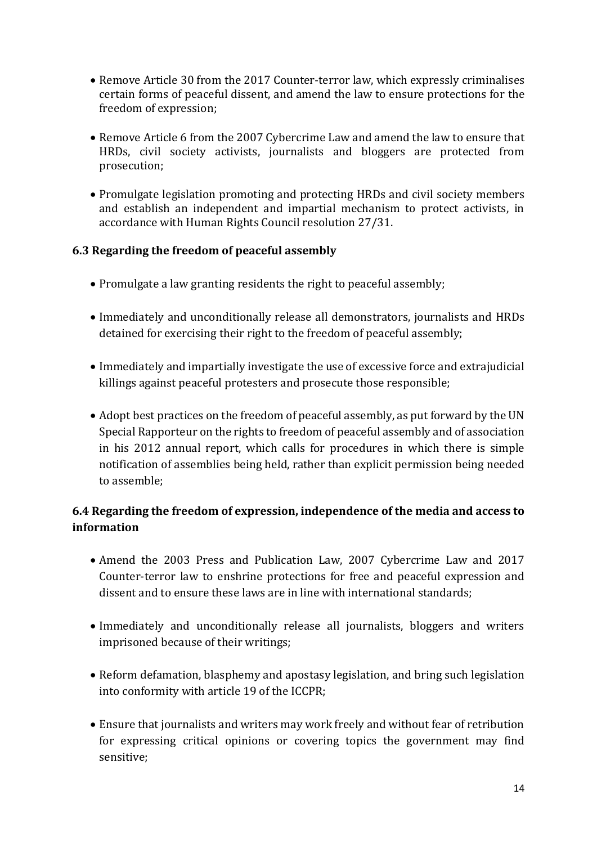- Remove Article 30 from the 2017 Counter-terror law, which expressly criminalises certain forms of peaceful dissent, and amend the law to ensure protections for the freedom of expression;
- Remove Article 6 from the 2007 Cybercrime Law and amend the law to ensure that HRDs, civil society activists, journalists and bloggers are protected from prosecution;
- Promulgate legislation promoting and protecting HRDs and civil society members and establish an independent and impartial mechanism to protect activists, in accordance with Human Rights Council resolution 27/31.

#### **6.3 Regarding the freedom of peaceful assembly**

- Promulgate a law granting residents the right to peaceful assembly;
- Immediately and unconditionally release all demonstrators, journalists and HRDs detained for exercising their right to the freedom of peaceful assembly;
- Immediately and impartially investigate the use of excessive force and extrajudicial killings against peaceful protesters and prosecute those responsible;
- Adopt best practices on the freedom of peaceful assembly, as put forward by the UN Special Rapporteur on the rights to freedom of peaceful assembly and of association in his 2012 annual report, which calls for procedures in which there is simple notification of assemblies being held, rather than explicit permission being needed to assemble;

#### **6.4 Regarding the freedom of expression, independence of the media and access to information**

- Amend the 2003 Press and Publication Law, 2007 Cybercrime Law and 2017 Counter-terror law to enshrine protections for free and peaceful expression and dissent and to ensure these laws are in line with international standards;
- Immediately and unconditionally release all journalists, bloggers and writers imprisoned because of their writings;
- Reform defamation, blasphemy and apostasy legislation, and bring such legislation into conformity with article 19 of the ICCPR;
- Ensure that journalists and writers may work freely and without fear of retribution for expressing critical opinions or covering topics the government may find sensitive;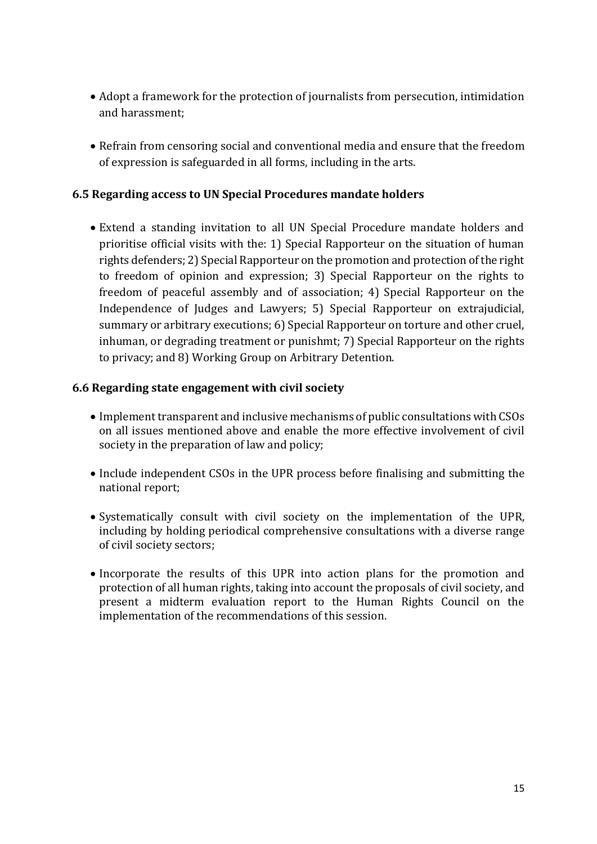- Adopt a framework for the protection of journalists from persecution, intimidation and harassment;
- Refrain from censoring social and conventional media and ensure that the freedom of expression is safeguarded in all forms, including in the arts.

#### **6.5 Regarding access to UN Special Procedures mandate holders**

 Extend a standing invitation to all UN Special Procedure mandate holders and prioritise official visits with the: 1) Special Rapporteur on the situation of human rights defenders; 2) Special Rapporteur on the promotion and protection of the right to freedom of opinion and expression; 3) Special Rapporteur on the rights to freedom of peaceful assembly and of association; 4) Special Rapporteur on the Independence of Judges and Lawyers; 5) Special Rapporteur on extrajudicial, summary or arbitrary executions; 6) Special Rapporteur on torture and other cruel, inhuman, or degrading treatment or punishmt; 7) Special Rapporteur on the rights to privacy; and 8) Working Group on Arbitrary Detention.

#### **6.6 Regarding state engagement with civil society**

- Implement transparent and inclusive mechanisms of public consultations with CSOs on all issues mentioned above and enable the more effective involvement of civil society in the preparation of law and policy;
- Include independent CSOs in the UPR process before finalising and submitting the national report;
- Systematically consult with civil society on the implementation of the UPR, including by holding periodical comprehensive consultations with a diverse range of civil society sectors;
- Incorporate the results of this UPR into action plans for the promotion and protection of all human rights, taking into account the proposals of civil society, and present a midterm evaluation report to the Human Rights Council on the implementation of the recommendations of this session.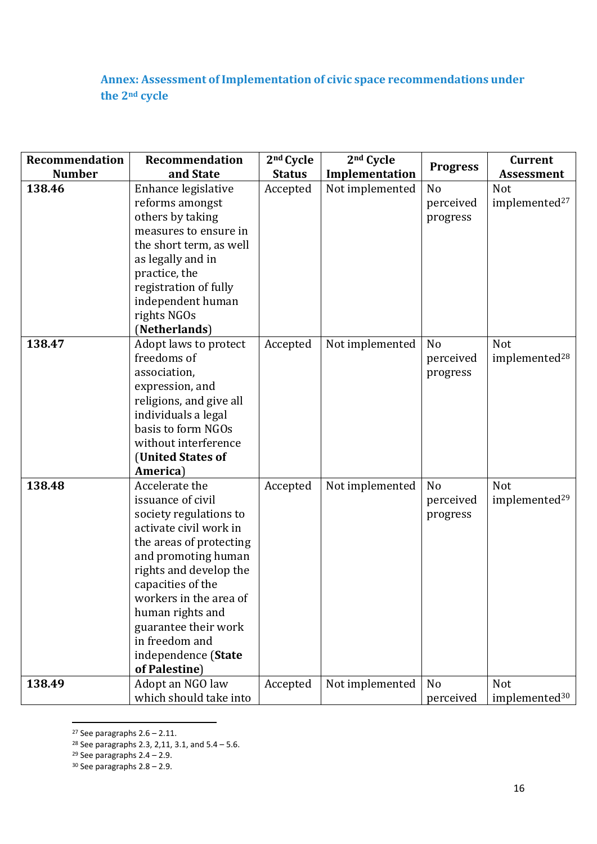## **Annex: Assessment of Implementation of civic space recommendations under the 2nd cycle**

| <b>Recommendation</b> | <b>Recommendation</b>                       | 2 <sup>nd</sup> Cycle | 2 <sup>nd</sup> Cycle | <b>Progress</b> | <b>Current</b>            |
|-----------------------|---------------------------------------------|-----------------------|-----------------------|-----------------|---------------------------|
| <b>Number</b>         | and State                                   | <b>Status</b>         | Implementation        |                 | <b>Assessment</b>         |
| 138.46                | Enhance legislative                         | Accepted              | Not implemented       | No              | Not                       |
|                       | reforms amongst                             |                       |                       | perceived       | implemented <sup>27</sup> |
|                       | others by taking                            |                       |                       | progress        |                           |
|                       | measures to ensure in                       |                       |                       |                 |                           |
|                       | the short term, as well                     |                       |                       |                 |                           |
|                       | as legally and in                           |                       |                       |                 |                           |
|                       | practice, the                               |                       |                       |                 |                           |
|                       | registration of fully                       |                       |                       |                 |                           |
|                       | independent human                           |                       |                       |                 |                           |
|                       | rights NGOs                                 |                       |                       |                 |                           |
|                       | (Netherlands)                               |                       |                       |                 |                           |
| 138.47                | Adopt laws to protect                       | Accepted              | Not implemented       | N <sub>o</sub>  | Not                       |
|                       | freedoms of                                 |                       |                       | perceived       | implemented <sup>28</sup> |
|                       | association,                                |                       |                       | progress        |                           |
|                       | expression, and                             |                       |                       |                 |                           |
|                       | religions, and give all                     |                       |                       |                 |                           |
|                       | individuals a legal                         |                       |                       |                 |                           |
|                       | basis to form NGOs                          |                       |                       |                 |                           |
|                       | without interference                        |                       |                       |                 |                           |
|                       | (United States of                           |                       |                       |                 |                           |
|                       | America)                                    |                       |                       |                 |                           |
| 138.48                | Accelerate the                              | Accepted              | Not implemented       | N <sub>o</sub>  | Not                       |
|                       | issuance of civil                           |                       |                       | perceived       | implemented <sup>29</sup> |
|                       | society regulations to                      |                       |                       | progress        |                           |
|                       | activate civil work in                      |                       |                       |                 |                           |
|                       | the areas of protecting                     |                       |                       |                 |                           |
|                       | and promoting human                         |                       |                       |                 |                           |
|                       | rights and develop the<br>capacities of the |                       |                       |                 |                           |
|                       | workers in the area of                      |                       |                       |                 |                           |
|                       | human rights and                            |                       |                       |                 |                           |
|                       | guarantee their work                        |                       |                       |                 |                           |
|                       | in freedom and                              |                       |                       |                 |                           |
|                       | independence (State                         |                       |                       |                 |                           |
|                       | of Palestine)                               |                       |                       |                 |                           |
| 138.49                | Adopt an NGO law                            | Accepted              | Not implemented       | N <sub>o</sub>  | Not                       |
|                       | which should take into                      |                       |                       | perceived       | implemented <sup>30</sup> |

<sup>&</sup>lt;sup>27</sup> See paragraphs  $2.6 - 2.11$ .

 $\overline{\phantom{a}}$ 

<sup>&</sup>lt;sup>28</sup> See paragraphs 2.3, 2,11, 3.1, and  $5.4 - 5.6$ .

 $29$  See paragraphs 2.4 – 2.9.

 $30$  See paragraphs  $2.8 - 2.9$ .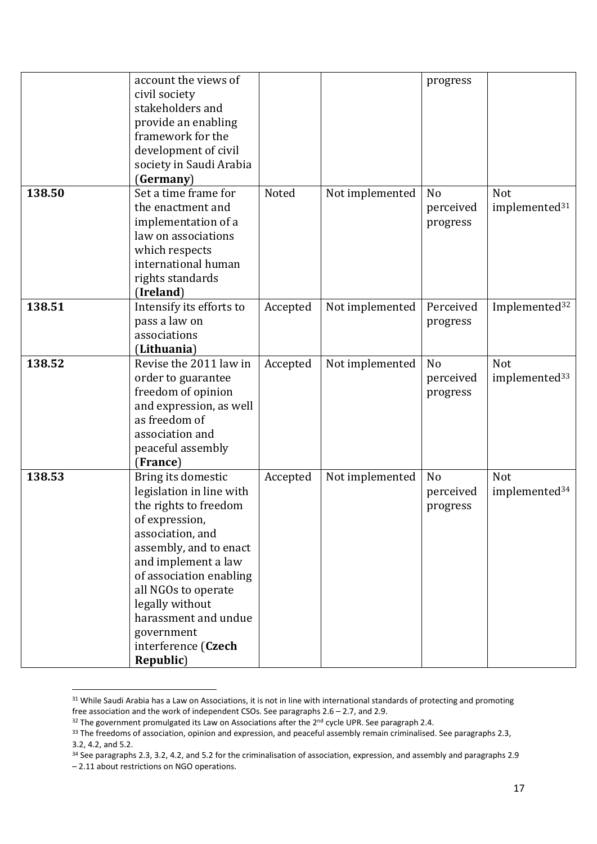|        | account the views of<br>civil society<br>stakeholders and<br>provide an enabling<br>framework for the<br>development of civil<br>society in Saudi Arabia<br>(Germany)                                                                                                                                         |          |                 | progress                                |                                  |
|--------|---------------------------------------------------------------------------------------------------------------------------------------------------------------------------------------------------------------------------------------------------------------------------------------------------------------|----------|-----------------|-----------------------------------------|----------------------------------|
| 138.50 | Set a time frame for<br>the enactment and<br>implementation of a<br>law on associations<br>which respects<br>international human<br>rights standards<br>(Ireland)                                                                                                                                             | Noted    | Not implemented | N <sub>o</sub><br>perceived<br>progress | Not<br>implemented <sup>31</sup> |
| 138.51 | Intensify its efforts to<br>pass a law on<br>associations<br>(Lithuania)                                                                                                                                                                                                                                      | Accepted | Not implemented | Perceived<br>progress                   | Implemented <sup>32</sup>        |
| 138.52 | Revise the 2011 law in<br>order to guarantee<br>freedom of opinion<br>and expression, as well<br>as freedom of<br>association and<br>peaceful assembly<br>(France)                                                                                                                                            | Accepted | Not implemented | N <sub>o</sub><br>perceived<br>progress | Not<br>implemented <sup>33</sup> |
| 138.53 | Bring its domestic<br>legislation in line with<br>the rights to freedom<br>of expression,<br>association, and<br>assembly, and to enact<br>and implement a law<br>of association enabling<br>all NGOs to operate<br>legally without<br>harassment and undue<br>government<br>interference (Czech<br>Republic) | Accepted | Not implemented | N <sub>o</sub><br>perceived<br>progress | Not<br>implemented <sup>34</sup> |

<sup>&</sup>lt;sup>31</sup> While Saudi Arabia has a Law on Associations, it is not in line with international standards of protecting and promoting free association and the work of independent CSOs. See paragraphs 2.6 – 2.7, and 2.9.

 $\overline{\phantom{a}}$ 

<sup>&</sup>lt;sup>32</sup> The government promulgated its Law on Associations after the 2<sup>nd</sup> cycle UPR. See paragraph 2.4.

<sup>&</sup>lt;sup>33</sup> The freedoms of association, opinion and expression, and peaceful assembly remain criminalised. See paragraphs 2.3, 3.2, 4.2, and 5.2.

<sup>34</sup> See paragraphs 2.3, 3.2, 4.2, and 5.2 for the criminalisation of association, expression, and assembly and paragraphs 2.9

<sup>–</sup> 2.11 about restrictions on NGO operations.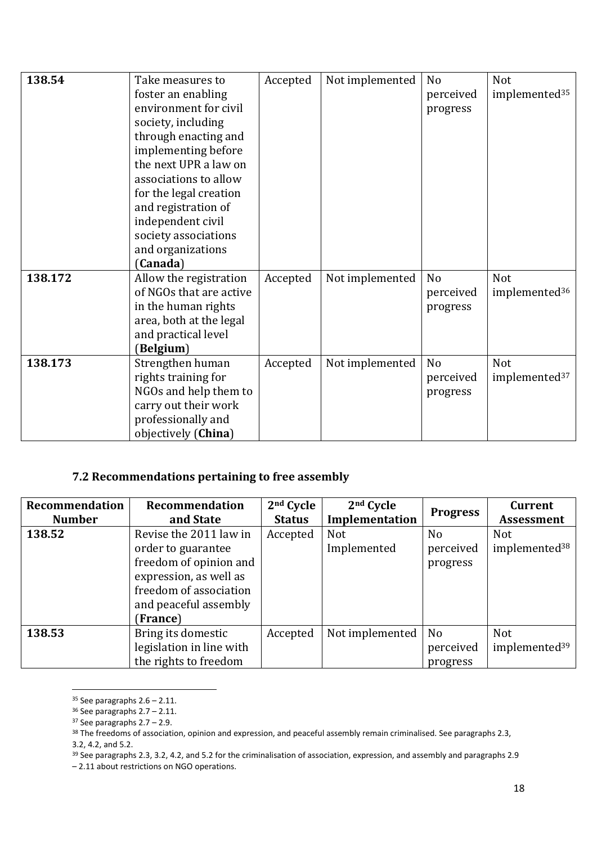| 138.54  | Take measures to<br>foster an enabling<br>environment for civil<br>society, including<br>through enacting and<br>implementing before<br>the next UPR a law on<br>associations to allow<br>for the legal creation<br>and registration of<br>independent civil<br>society associations<br>and organizations<br>(Canada) | Accepted | Not implemented | N <sub>o</sub><br>perceived<br>progress | Not<br>implemented <sup>35</sup> |
|---------|-----------------------------------------------------------------------------------------------------------------------------------------------------------------------------------------------------------------------------------------------------------------------------------------------------------------------|----------|-----------------|-----------------------------------------|----------------------------------|
| 138.172 | Allow the registration<br>of NGOs that are active<br>in the human rights<br>area, both at the legal<br>and practical level<br>(Belgium)                                                                                                                                                                               | Accepted | Not implemented | No<br>perceived<br>progress             | Not<br>implemented <sup>36</sup> |
| 138.173 | Strengthen human<br>rights training for<br>NGOs and help them to<br>carry out their work<br>professionally and<br>objectively (China)                                                                                                                                                                                 | Accepted | Not implemented | N <sub>o</sub><br>perceived<br>progress | Not<br>implemented <sup>37</sup> |

#### **7.2 Recommendations pertaining to free assembly**

| Recommendation | <b>Recommendation</b>    | 2 <sup>nd</sup> Cycle | 2 <sup>nd</sup> Cycle | <b>Progress</b> | <b>Current</b>            |
|----------------|--------------------------|-----------------------|-----------------------|-----------------|---------------------------|
| <b>Number</b>  | and State                | <b>Status</b>         | Implementation        |                 | <b>Assessment</b>         |
| 138.52         | Revise the 2011 law in   | Accepted              | <b>Not</b>            | No.             | <b>Not</b>                |
|                | order to guarantee       |                       | Implemented           | perceived       | implemented <sup>38</sup> |
|                | freedom of opinion and   |                       |                       | progress        |                           |
|                | expression, as well as   |                       |                       |                 |                           |
|                | freedom of association   |                       |                       |                 |                           |
|                | and peaceful assembly    |                       |                       |                 |                           |
|                | (France)                 |                       |                       |                 |                           |
| 138.53         | Bring its domestic       | Accepted              | Not implemented       | N <sub>o</sub>  | <b>Not</b>                |
|                | legislation in line with |                       |                       | perceived       | implemented <sup>39</sup> |
|                | the rights to freedom    |                       |                       | progress        |                           |

 $35$  See paragraphs 2.6 – 2.11.

 $\overline{\phantom{a}}$ 

 $36$  See paragraphs  $2.7 - 2.11$ .

 $37$  See paragraphs  $2.7 - 2.9$ .

<sup>&</sup>lt;sup>38</sup> The freedoms of association, opinion and expression, and peaceful assembly remain criminalised. See paragraphs 2.3, 3.2, 4.2, and 5.2.

<sup>&</sup>lt;sup>39</sup> See paragraphs 2.3, 3.2, 4.2, and 5.2 for the criminalisation of association, expression, and assembly and paragraphs 2.9

<sup>–</sup> 2.11 about restrictions on NGO operations.